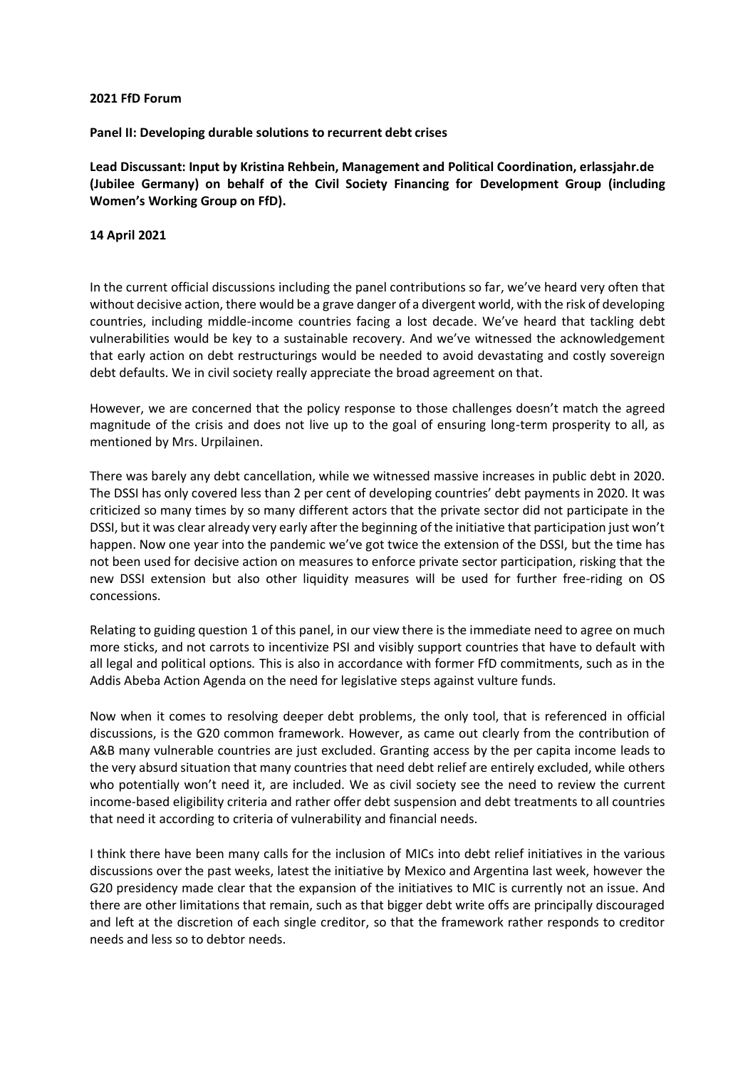## **2021 FfD Forum**

**Panel II: Developing durable solutions to recurrent debt crises**

**Lead Discussant: Input by Kristina Rehbein, Management and Political Coordination, erlassjahr.de (Jubilee Germany) on behalf of the Civil Society Financing for Development Group (including Women's Working Group on FfD).** 

## **14 April 2021**

In the current official discussions including the panel contributions so far, we've heard very often that without decisive action, there would be a grave danger of a divergent world, with the risk of developing countries, including middle-income countries facing a lost decade. We've heard that tackling debt vulnerabilities would be key to a sustainable recovery. And we've witnessed the acknowledgement that early action on debt restructurings would be needed to avoid devastating and costly sovereign debt defaults. We in civil society really appreciate the broad agreement on that.

However, we are concerned that the policy response to those challenges doesn't match the agreed magnitude of the crisis and does not live up to the goal of ensuring long-term prosperity to all, as mentioned by Mrs. Urpilainen.

There was barely any debt cancellation, while we witnessed massive increases in public debt in 2020. The DSSI has only covered less than 2 per cent of developing countries' debt payments in 2020. It was criticized so many times by so many different actors that the private sector did not participate in the DSSI, but it was clear already very early after the beginning of the initiative that participation just won't happen. Now one year into the pandemic we've got twice the extension of the DSSI, but the time has not been used for decisive action on measures to enforce private sector participation, risking that the new DSSI extension but also other liquidity measures will be used for further free-riding on OS concessions.

Relating to guiding question 1 of this panel, in our view there is the immediate need to agree on much more sticks, and not carrots to incentivize PSI and visibly support countries that have to default with all legal and political options*.* This is also in accordance with former FfD commitments, such as in the Addis Abeba Action Agenda on the need for legislative steps against vulture funds.

Now when it comes to resolving deeper debt problems, the only tool, that is referenced in official discussions, is the G20 common framework. However, as came out clearly from the contribution of A&B many vulnerable countries are just excluded. Granting access by the per capita income leads to the very absurd situation that many countries that need debt relief are entirely excluded, while others who potentially won't need it, are included. We as civil society see the need to review the current income-based eligibility criteria and rather offer debt suspension and debt treatments to all countries that need it according to criteria of vulnerability and financial needs.

I think there have been many calls for the inclusion of MICs into debt relief initiatives in the various discussions over the past weeks, latest the initiative by Mexico and Argentina last week, however the G20 presidency made clear that the expansion of the initiatives to MIC is currently not an issue. And there are other limitations that remain, such as that bigger debt write offs are principally discouraged and left at the discretion of each single creditor, so that the framework rather responds to creditor needs and less so to debtor needs.